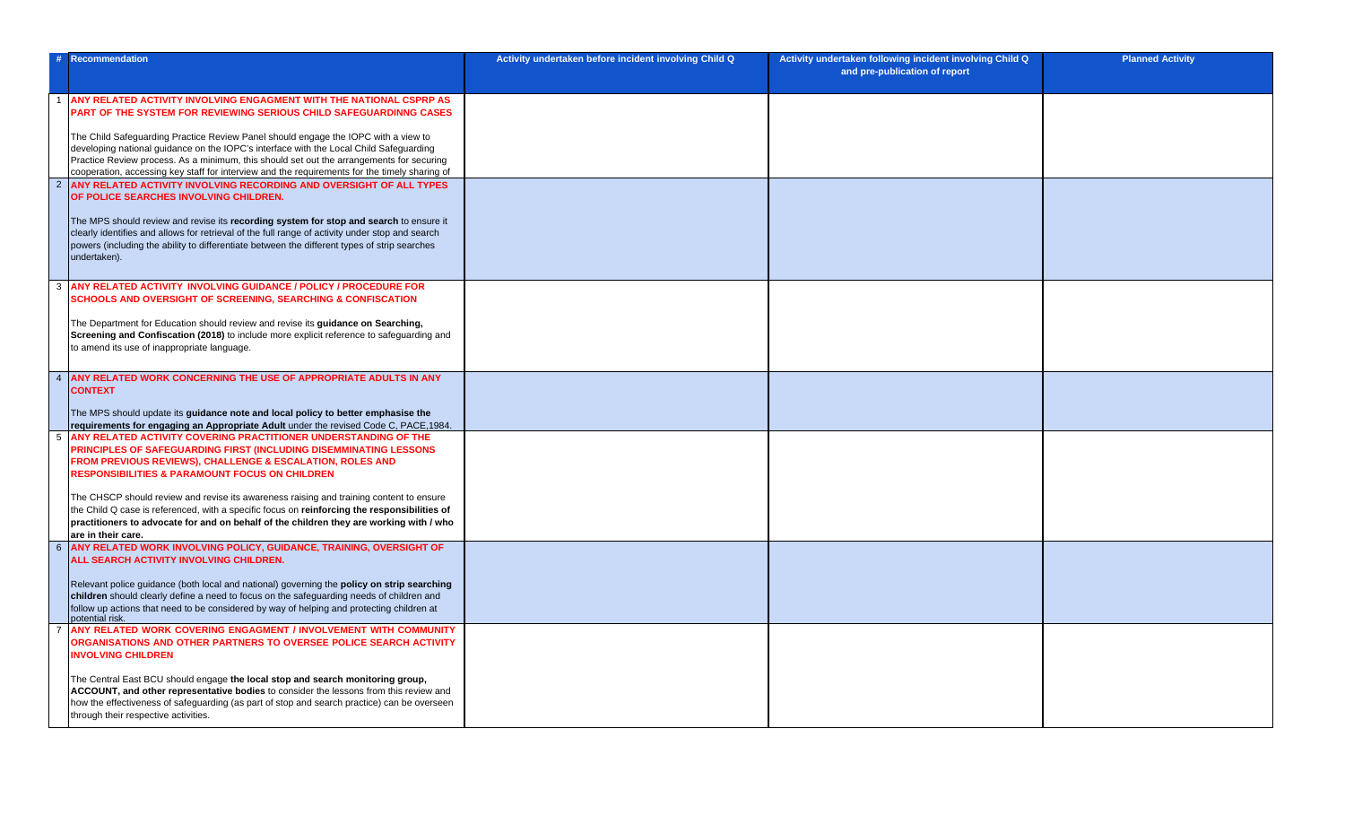| -#             | Recommendation                                                                                                                                                                                                                                                                                                 | Activity undertaken before incident involving Child Q | Activity undertaken following incident involving Child Q<br>and pre-publication of report | <b>Planned Activity</b> |
|----------------|----------------------------------------------------------------------------------------------------------------------------------------------------------------------------------------------------------------------------------------------------------------------------------------------------------------|-------------------------------------------------------|-------------------------------------------------------------------------------------------|-------------------------|
|                | ANY RELATED ACTIVITY INVOLVING ENGAGMENT WITH THE NATIONAL CSPRP AS<br><b>PART OF THE SYSTEM FOR REVIEWING SERIOUS CHILD SAFEGUARDINNG CASES</b>                                                                                                                                                               |                                                       |                                                                                           |                         |
|                | The Child Safeguarding Practice Review Panel should engage the IOPC with a view to<br>developing national guidance on the IOPC's interface with the Local Child Safeguarding                                                                                                                                   |                                                       |                                                                                           |                         |
|                | Practice Review process. As a minimum, this should set out the arrangements for securing<br>cooperation, accessing key staff for interview and the requirements for the timely sharing of                                                                                                                      |                                                       |                                                                                           |                         |
|                | 2 ANY RELATED ACTIVITY INVOLVING RECORDING AND OVERSIGHT OF ALL TYPES<br>OF POLICE SEARCHES INVOLVING CHILDREN.                                                                                                                                                                                                |                                                       |                                                                                           |                         |
|                | The MPS should review and revise its recording system for stop and search to ensure it<br>clearly identifies and allows for retrieval of the full range of activity under stop and search<br>powers (including the ability to differentiate between the different types of strip searches<br>undertaken).      |                                                       |                                                                                           |                         |
|                | 3 ANY RELATED ACTIVITY INVOLVING GUIDANCE / POLICY / PROCEDURE FOR<br><b>SCHOOLS AND OVERSIGHT OF SCREENING, SEARCHING &amp; CONFISCATION</b>                                                                                                                                                                  |                                                       |                                                                                           |                         |
|                | The Department for Education should review and revise its guidance on Searching,<br>Screening and Confiscation (2018) to include more explicit reference to safeguarding and<br>to amend its use of inappropriate language.                                                                                    |                                                       |                                                                                           |                         |
| $\overline{4}$ | ANY RELATED WORK CONCERNING THE USE OF APPROPRIATE ADULTS IN ANY<br><b>CONTEXT</b>                                                                                                                                                                                                                             |                                                       |                                                                                           |                         |
|                | The MPS should update its guidance note and local policy to better emphasise the<br>requirements for engaging an Appropriate Adult under the revised Code C, PACE, 1984.                                                                                                                                       |                                                       |                                                                                           |                         |
|                | 5 ANY RELATED ACTIVITY COVERING PRACTITIONER UNDERSTANDING OF THE<br><b>PRINCIPLES OF SAFEGUARDING FIRST (INCLUDING DISEMMINATING LESSONS</b><br><b>FROM PREVIOUS REVIEWS), CHALLENGE &amp; ESCALATION, ROLES AND</b><br><b>RESPONSIBILITIES &amp; PARAMOUNT FOCUS ON CHILDREN</b>                             |                                                       |                                                                                           |                         |
|                | The CHSCP should review and revise its awareness raising and training content to ensure<br>the Child Q case is referenced, with a specific focus on reinforcing the responsibilities of<br>practitioners to advocate for and on behalf of the children they are working with / who<br>are in their care.       |                                                       |                                                                                           |                         |
|                | 6 ANY RELATED WORK INVOLVING POLICY, GUIDANCE, TRAINING, OVERSIGHT OF<br>ALL SEARCH ACTIVITY INVOLVING CHILDREN.                                                                                                                                                                                               |                                                       |                                                                                           |                         |
|                | Relevant police guidance (both local and national) governing the policy on strip searching<br>children should clearly define a need to focus on the safeguarding needs of children and<br>follow up actions that need to be considered by way of helping and protecting children at<br>potential risk.         |                                                       |                                                                                           |                         |
| $\overline{7}$ | ANY RELATED WORK COVERING ENGAGMENT / INVOLVEMENT WITH COMMUNITY<br><b>ORGANISATIONS AND OTHER PARTNERS TO OVERSEE POLICE SEARCH ACTIVITY</b><br><b>INVOLVING CHILDREN</b>                                                                                                                                     |                                                       |                                                                                           |                         |
|                | The Central East BCU should engage the local stop and search monitoring group,<br>ACCOUNT, and other representative bodies to consider the lessons from this review and<br>how the effectiveness of safeguarding (as part of stop and search practice) can be overseen<br>through their respective activities. |                                                       |                                                                                           |                         |